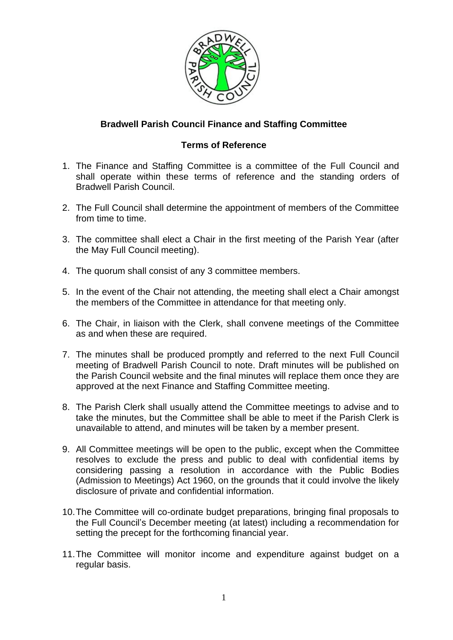

## **Bradwell Parish Council Finance and Staffing Committee**

## **Terms of Reference**

- 1. The Finance and Staffing Committee is a committee of the Full Council and shall operate within these terms of reference and the standing orders of Bradwell Parish Council.
- 2. The Full Council shall determine the appointment of members of the Committee from time to time.
- 3. The committee shall elect a Chair in the first meeting of the Parish Year (after the May Full Council meeting).
- 4. The quorum shall consist of any 3 committee members.
- 5. In the event of the Chair not attending, the meeting shall elect a Chair amongst the members of the Committee in attendance for that meeting only.
- 6. The Chair, in liaison with the Clerk, shall convene meetings of the Committee as and when these are required.
- 7. The minutes shall be produced promptly and referred to the next Full Council meeting of Bradwell Parish Council to note. Draft minutes will be published on the Parish Council website and the final minutes will replace them once they are approved at the next Finance and Staffing Committee meeting.
- 8. The Parish Clerk shall usually attend the Committee meetings to advise and to take the minutes, but the Committee shall be able to meet if the Parish Clerk is unavailable to attend, and minutes will be taken by a member present.
- 9. All Committee meetings will be open to the public, except when the Committee resolves to exclude the press and public to deal with confidential items by considering passing a resolution in accordance with the Public Bodies (Admission to Meetings) Act 1960, on the grounds that it could involve the likely disclosure of private and confidential information.
- 10.The Committee will co-ordinate budget preparations, bringing final proposals to the Full Council's December meeting (at latest) including a recommendation for setting the precept for the forthcoming financial year.
- 11.The Committee will monitor income and expenditure against budget on a regular basis.